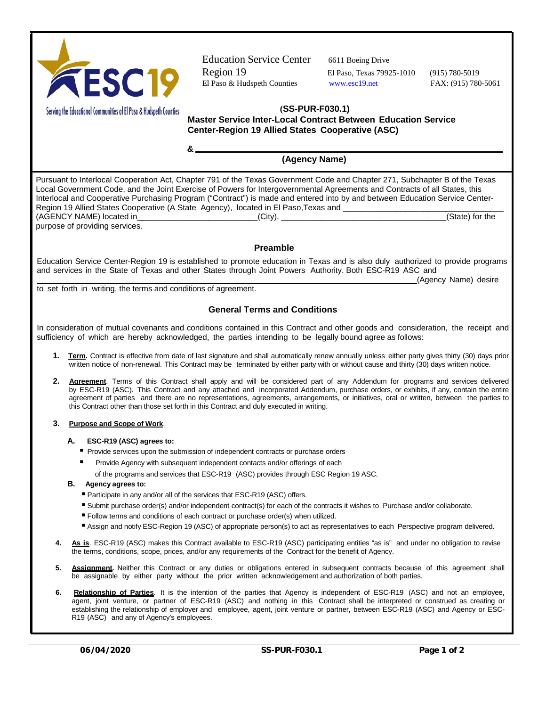

Education Service Center 6611 Boeing Drive Region 19 El Paso, Texas 79925-1010 (915) 780-5019 El Paso & Hudspeth Counties www.esc19.net FAX: (915) 780-5061

(Agency Name) desire

Serving the Educational Communities of El Paso & Hudspeth Counties

## **(SS-PUR-F030.1)**

**Master Service Inter-Local Contract Between Education Service Center-Region 19 Allied States Cooperative (ASC)**

**(Agency Name)**

Pursuant to Interlocal Cooperation Act, Chapter 791 of the Texas Government Code and Chapter 271, Subchapter B of the Texas Local Government Code, and the Joint Exercise of Powers for Intergovernmental Agreements and Contracts of all States, this Interlocal and Cooperative Purchasing Program ("Contract") is made and entered into by and between Education Service Center-Region 19 Allied States Cooperative (A State Agency), located in El Paso,Texas and \_\_\_\_\_\_\_\_\_\_\_\_\_\_\_\_\_\_\_\_\_\_\_\_\_\_\_\_\_\_\_\_\_\_\_\_  $(AGENCY NAME)$  located in  $(City)$ ,  $(City)$ purpose of providing services.

## **Preamble**

Education Service Center-Region 19 is established to promote education in Texas and is also duly authorized to provide programs and services in the State of Texas and other States through Joint Powers Authority. Both ESC-R19 ASC and

to set forth in writing, the terms and conditions of agreement.

**&** 

## **General Terms and Conditions**

In consideration of mutual covenants and conditions contained in this Contract and other goods and consideration, the receipt and sufficiency of which are hereby acknowledged, the parties intending to be legally bound agree as follows:

- **1. Term.** Contract is effective from date of last signature and shall automatically renew annually unless either party gives thirty (30) days prior written notice of non-renewal. This Contract may be terminated by either party with or without cause and thirty (30) days written notice.
- **2. Agreement**. Terms of this Contract shall apply and will be considered part of any Addendum for programs and services delivered by ESC-R19 (ASC). This Contract and any attached and incorporated Addendum, purchase orders, or exhibits, if any, contain the entire agreement of parties and there are no representations, agreements, arrangements, or initiatives, oral or written, between the parties to this Contract other than those set forth in this Contract and duly executed in writing.

## **3. Purpose and Scope of Work**.

- **A. ESC-R19 (ASC) agrees to:**
	- Provide services upon the submission of independent contracts or purchase orders
	- Provide Agency with subsequent independent contacts and/or offerings of each
		- of the programs and services that ESC-R19 (ASC) provides through ESC Region 19 ASC.
- **B. Agency agrees to:**
	- Participate in any and/or all of the services that ESC-R19 (ASC) offers.
	- Submit purchase order(s) and/or independent contract(s) for each of the contracts it wishes to Purchase and/or collaborate.
	- Follow terms and conditions of each contract or purchase order(s) when utilized.
	- Assign and notify ESC-Region 19 (ASC) of appropriate person(s) to act as representatives to each Perspective program delivered.
- **4. As is**. ESC-R19 (ASC) makes this Contract available to ESC-R19 (ASC) participating entities "as is" and under no obligation to revise the terms, conditions, scope, prices, and/or any requirements of the Contract for the benefit of Agency.
- **5. Assignment.** Neither this Contract or any duties or obligations entered in subsequent contracts because of this agreement shall be assignable by either party without the prior written acknowledgement and authorization of both parties.
- **6. Relationship of Parties**. It is the intention of the parties that Agency is independent of ESC-R19 (ASC) and not an employee, agent, joint venture, or partner of ESC-R19 (ASC) and nothing in this Contract shall be interpreted or construed as creating or establishing the relationship of employer and employee, agent, joint venture or partner, between ESC-R19 (ASC) and Agency or ESC-R19 (ASC) and any of Agency's employees.